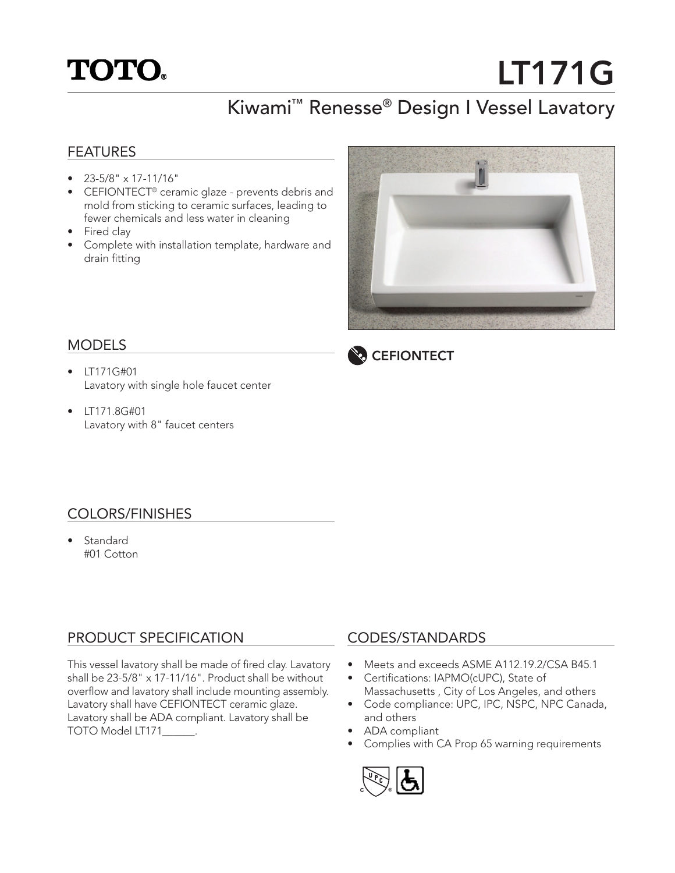## **TOTO.**

# LT171G

### Kiwami™ Renesse® Design I Vessel Lavatory

#### FEATURES

- 23-5/8" x 17-11/16"
- CEFIONTECT® ceramic glaze prevents debris and mold from sticking to ceramic surfaces, leading to fewer chemicals and less water in cleaning
- Fired clay
- Complete with installation template, hardware and drain fitting



#### MODELS

- LT171G#01 Lavatory with single hole faucet center
- LT171.8G#01 Lavatory with 8" faucet centers



#### COLORS/FINISHES

• Standard #01 Cotton

#### PRODUCT SPECIFICATION

This vessel lavatory shall be made of fired clay. Lavatory shall be 23-5/8" x 17-11/16". Product shall be without overflow and lavatory shall include mounting assembly. Lavatory shall have CEFIONTECT ceramic glaze. Lavatory shall be ADA compliant. Lavatory shall be TOTO Model LT171\_\_\_\_\_\_.

#### CODES/STANDARDS

- Meets and exceeds ASME A112.19.2/CSA B45.1
- Certifications: IAPMO(cUPC), State of Massachusetts , City of Los Angeles, and others
- Code compliance: UPC, IPC, NSPC, NPC Canada, and others
- ADA compliant
- Complies with CA Prop 65 warning requirements